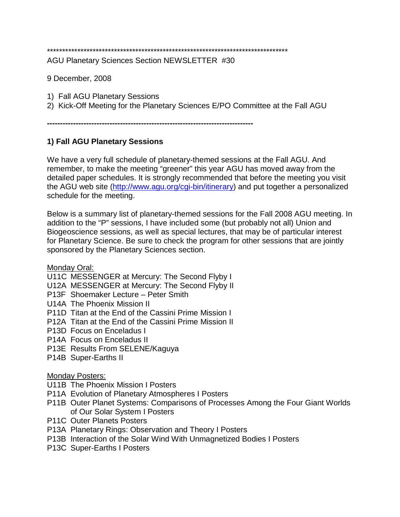\*\*\*\*\*\*\*\*\*\*\*\*\*\*\*\*\*\*\*\*\*\*\*\*\*\*\*\*\*\*\*\*\*\*\*\*\*\*\*\*\*\*\*\*\*\*\*\*\*\*\*\*\*\*\*\*\*\*\*\*\*\*\*\*\*\*\*\*\*\*\*\*\*\*\*\*\*\*\*

AGU Planetary Sciences Section NEWSLETTER #30

9 December, 2008

- 1) Fall AGU Planetary Sessions
- 2) Kick-Off Meeting for the Planetary Sciences E/PO Committee at the Fall AGU

**-------------------------------------------------------------------------------**

## **1) Fall AGU Planetary Sessions**

We have a very full schedule of planetary-themed sessions at the Fall AGU. And remember, to make the meeting "greener" this year AGU has moved away from the detailed paper schedules. It is strongly recommended that before the meeting you visit the AGU web site [\(http://www.agu.org/cgi-bin/itinerary\)](http://www.agu.org/cgi-bin/itinerary) and put together a personalized schedule for the meeting.

Below is a summary list of planetary-themed sessions for the Fall 2008 AGU meeting. In addition to the "P" sessions, I have included some (but probably not all) Union and Biogeoscience sessions, as well as special lectures, that may be of particular interest for Planetary Science. Be sure to check the program for other sessions that are jointly sponsored by the Planetary Sciences section.

Monday Oral:

- U11C MESSENGER at Mercury: The Second Flyby I
- U12A MESSENGER at Mercury: The Second Flyby II
- P13F Shoemaker Lecture Peter Smith
- U14A The Phoenix Mission II
- P11D Titan at the End of the Cassini Prime Mission I
- P12A Titan at the End of the Cassini Prime Mission II
- P13D Focus on Enceladus I
- P14A Focus on Enceladus II
- P13E Results From SELENE/Kaguya
- P14B Super-Earths II

#### Monday Posters:

- U11B The Phoenix Mission I Posters
- P11A Evolution of Planetary Atmospheres I Posters
- P11B Outer Planet Systems: Comparisons of Processes Among the Four Giant Worlds of Our Solar System I Posters
- P11C Outer Planets Posters
- P13A Planetary Rings: Observation and Theory I Posters
- P13B Interaction of the Solar Wind With Unmagnetized Bodies I Posters
- P13C Super-Earths I Posters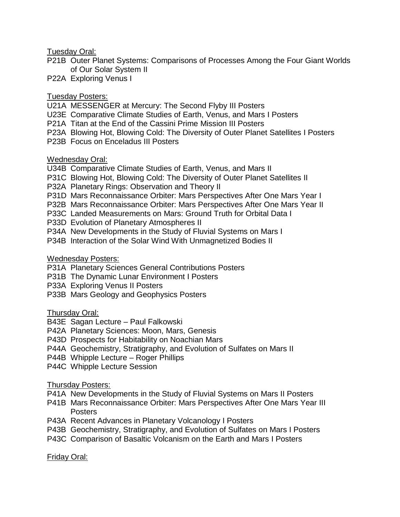Tuesday Oral:

- P21B Outer Planet Systems: Comparisons of Processes Among the Four Giant Worlds of Our Solar System II
- P22A Exploring Venus I

## Tuesday Posters:

- U21A MESSENGER at Mercury: The Second Flyby III Posters
- U23E Comparative Climate Studies of Earth, Venus, and Mars I Posters
- P21A Titan at the End of the Cassini Prime Mission III Posters
- P23A Blowing Hot, Blowing Cold: The Diversity of Outer Planet Satellites I Posters
- P23B Focus on Enceladus III Posters

## Wednesday Oral:

- U34B Comparative Climate Studies of Earth, Venus, and Mars II
- P31C Blowing Hot, Blowing Cold: The Diversity of Outer Planet Satellites II
- P32A Planetary Rings: Observation and Theory II
- P31D Mars Reconnaissance Orbiter: Mars Perspectives After One Mars Year I
- P32B Mars Reconnaissance Orbiter: Mars Perspectives After One Mars Year II
- P33C Landed Measurements on Mars: Ground Truth for Orbital Data I
- P33D Evolution of Planetary Atmospheres II
- P34A New Developments in the Study of Fluvial Systems on Mars I
- P34B Interaction of the Solar Wind With Unmagnetized Bodies II

## Wednesday Posters:

- P31A Planetary Sciences General Contributions Posters
- P31B The Dynamic Lunar Environment I Posters
- P33A Exploring Venus II Posters
- P33B Mars Geology and Geophysics Posters

# Thursday Oral:

- B43E Sagan Lecture Paul Falkowski
- P42A Planetary Sciences: Moon, Mars, Genesis
- P43D Prospects for Habitability on Noachian Mars
- P44A Geochemistry, Stratigraphy, and Evolution of Sulfates on Mars II
- P44B Whipple Lecture Roger Phillips
- P44C Whipple Lecture Session

#### Thursday Posters:

- P41A New Developments in the Study of Fluvial Systems on Mars II Posters
- P41B Mars Reconnaissance Orbiter: Mars Perspectives After One Mars Year III Posters
- P43A Recent Advances in Planetary Volcanology I Posters
- P43B Geochemistry, Stratigraphy, and Evolution of Sulfates on Mars I Posters
- P43C Comparison of Basaltic Volcanism on the Earth and Mars I Posters

Friday Oral: